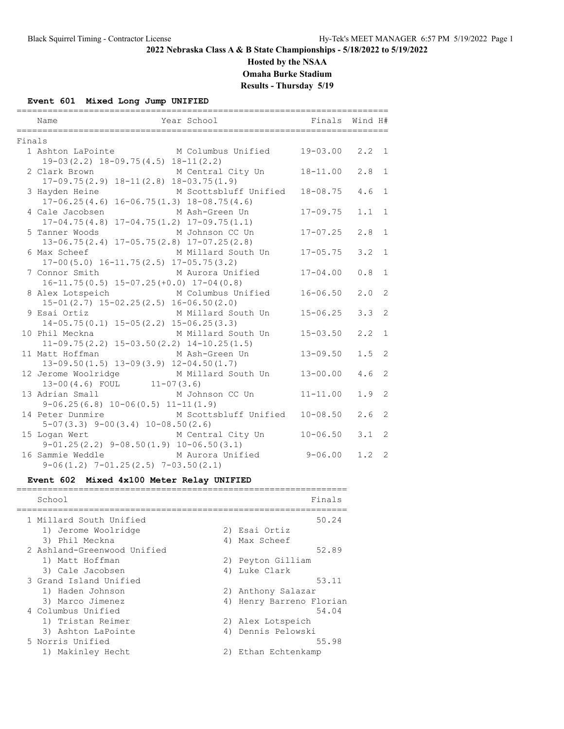**Hosted by the NSAA**

**Omaha Burke Stadium**

**Results - Thursday 5/19**

## **Event 601 Mixed Long Jump UNIFIED**

|        | Year School                               Finals   Wind H#<br>Name                                                             |              |     |                |
|--------|--------------------------------------------------------------------------------------------------------------------------------|--------------|-----|----------------|
| Finals |                                                                                                                                |              |     |                |
|        | 1 Ashton LaPointe M Columbus Unified 19-03.00<br>$19-03(2.2)$ $18-09.75(4.5)$ $18-11(2.2)$                                     |              | 2.2 | $\overline{1}$ |
|        | 2 Clark Brown M Central City Un<br>$17-09.75(2.9)$ $18-11(2.8)$ $18-03.75(1.9)$                                                | 18-11.00     | 2.8 | 1              |
|        | 3 Hayden Heine M Scottsbluff Unified<br>$17-06.25(4.6)$ $16-06.75(1.3)$ $18-08.75(4.6)$                                        | 18-08.75     | 4.6 | 1              |
|        | 4 Cale Jacobsen<br>M Ash-Green Un<br>$17-04.75(4.8)$ $17-04.75(1.2)$ $17-09.75(1.1)$                                           | $17 - 09.75$ | 1.1 | 1              |
|        | 5 Tanner Woods M Johnson CC Un<br>$13-06.75(2.4)$ $17-05.75(2.8)$ $17-07.25(2.8)$                                              | $17 - 07.25$ | 2.8 | $\mathbf{1}$   |
|        | 6 Max Scheef<br>M Millard South Un 17-05.75<br>$17-00(5.0)$ $16-11.75(2.5)$ $17-05.75(3.2)$                                    |              | 3.2 | $\mathbf{1}$   |
|        | 7 Connor Smith M Aurora Unified<br>$16-11.75(0.5)$ $15-07.25(+0.0)$ $17-04(0.8)$                                               | $17 - 04.00$ | 0.8 | $\mathbf{1}$   |
|        | 8 Alex Lotspeich M Columbus Unified<br>$15-01(2.7)$ $15-02.25(2.5)$ $16-06.50(2.0)$                                            | $16 - 06.50$ | 2.0 | $\overline{2}$ |
|        | 9 Esai Ortiz M Millard South Un<br>$14-05.75(0.1)$ $15-05(2.2)$ $15-06.25(3.3)$                                                | $15 - 06.25$ | 3.3 | $\overline{2}$ |
|        | 10 Phil Meckna M Millard South Un<br>$11-09.75(2.2)$ $15-03.50(2.2)$ $14-10.25(1.5)$                                           | $15 - 03.50$ | 2.2 | $\mathbf{1}$   |
|        | 11 Matt Hoffman M Ash-Green Un<br>$13-09.50(1.5)$ $13-09(3.9)$ $12-04.50(1.7)$                                                 | $13 - 09.50$ | 1.5 | 2              |
|        | 12 Jerome Woolridge M Millard South Un<br>$13-00(4.6)$ FOUL $11-07(3.6)$                                                       | $13 - 00.00$ | 4.6 | 2              |
|        | 13 Adrian Small M Johnson CC Un                                                                                                | $11 - 11.00$ | 1.9 | 2              |
|        | $9-06.25(6.8)$ $10-06(0.5)$ $11-11(1.9)$<br>14 Peter Dunmire M Scottsbluff Unified<br>$5-07(3.3)$ $9-00(3.4)$ $10-08.50(2.6)$  | $10 - 08.50$ | 2.6 | 2              |
|        | 15 Logan Wert<br>M Central City Un 10-06.50                                                                                    |              | 3.1 | 2              |
|        | $9-01.25(2.2)$ $9-08.50(1.9)$ $10-06.50(3.1)$<br>M Aurora Unified<br>16 Sammie Weddle<br>$9-06(1.2)$ 7-01.25(2.5) 7-03.50(2.1) | $9 - 06.00$  | 1.2 | 2              |

## **Event 602 Mixed 4x100 Meter Relay UNIFIED**

| School                      | Finals                   |
|-----------------------------|--------------------------|
| 1 Millard South Unified     | 50.24                    |
| 1) Jerome Woolridge         | 2) Esai Ortiz            |
| 3) Phil Meckna              | 4) Max Scheef            |
| 2 Ashland-Greenwood Unified | 52.89                    |
| 1) Matt Hoffman             | 2) Peyton Gilliam        |
| 3) Cale Jacobsen            | 4) Luke Clark            |
| 3 Grand Island Unified      | 53.11                    |
| 1) Haden Johnson            | 2) Anthony Salazar       |
| 3) Marco Jimenez            | 4) Henry Barreno Florian |
| 4 Columbus Unified          | 54.04                    |
| 1) Tristan Reimer           | 2) Alex Lotspeich        |
| 3) Ashton LaPointe          | 4) Dennis Pelowski       |
| 5 Norris Unified            | 55.98                    |
| 1) Makinley Hecht           | 2) Ethan Echtenkamp      |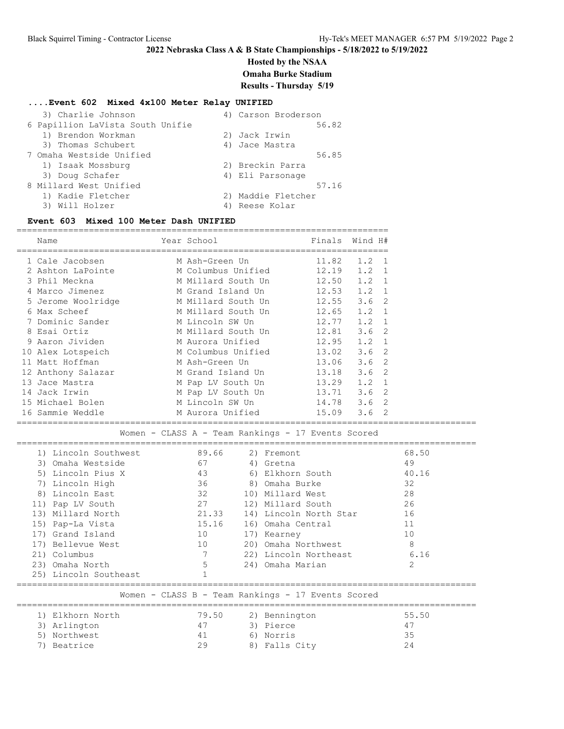**Hosted by the NSAA**

**Omaha Burke Stadium**

**Results - Thursday 5/19**

## **....Event 602 Mixed 4x100 Meter Relay UNIFIED**

| 3) Charlie Johnson               | 4) Carson Broderson |
|----------------------------------|---------------------|
| 6 Papillion LaVista South Unifie | 56.82               |
| 1) Brendon Workman               | 2) Jack Irwin       |
| 3) Thomas Schubert               | 4) Jace Mastra      |
| 7 Omaha Westside Unified         | 56.85               |
| 1) Isaak Mossburg                | 2) Breckin Parra    |
| 3) Doug Schafer                  | 4) Eli Parsonage    |
| 8 Millard West Unified           | 57.16               |
| 1) Kadie Fletcher                | 2) Maddie Fletcher  |
| Will Holzer<br>3)                | Reese Kolar         |

#### **Event 603 Mixed 100 Meter Dash UNIFIED**

| Name                                               | Year School        | Finals                 | Wind H# | =========================== |  |  |  |
|----------------------------------------------------|--------------------|------------------------|---------|-----------------------------|--|--|--|
| 1 Cale Jacobsen                                    | M Ash-Green Un     | 11.82                  | 1.2     | $\mathbf{1}$                |  |  |  |
| 2 Ashton LaPointe                                  | M Columbus Unified | 12.19                  | 1.2     | $\mathbf{1}$                |  |  |  |
| 3 Phil Meckna                                      | M Millard South Un | 12.50                  | 1.2     | 1                           |  |  |  |
| 4 Marco Jimenez                                    | M Grand Island Un  | 12.53                  | 1.2     | $\mathbf{1}$                |  |  |  |
| 5 Jerome Woolridge                                 | M Millard South Un | 12.55                  | 3.6     | $\mathfrak{D}$              |  |  |  |
| 6 Max Scheef                                       | M Millard South Un | 12.65                  | 1.2     | $\mathbf{1}$                |  |  |  |
| 7 Dominic Sander                                   | M Lincoln SW Un    | 12.77                  | 1.2     | $\mathbf{1}$                |  |  |  |
| 8 Esai Ortiz                                       | M Millard South Un | 12.81                  | 3.6     | 2                           |  |  |  |
| 9 Aaron Jividen                                    | M Aurora Unified   | 12.95                  | 1.2     | $\mathbf{1}$                |  |  |  |
| 10 Alex Lotspeich                                  | M Columbus Unified | 13.02                  | 3.6     | $\overline{2}$              |  |  |  |
| 11 Matt Hoffman                                    | M Ash-Green Un     | 13.06                  | 3.6     | 2                           |  |  |  |
| 12 Anthony Salazar                                 | M Grand Island Un  | 13.18                  | 3.6     | 2                           |  |  |  |
| 13 Jace Mastra                                     | M Pap LV South Un  | 13.29                  | 1.2     | $\mathbf{1}$                |  |  |  |
| 14 Jack Irwin                                      | M Pap LV South Un  | 13.71                  | 3.6     | 2                           |  |  |  |
| 15 Michael Bolen                                   | M Lincoln SW Un    | 14.78                  | 3.6     | 2                           |  |  |  |
| 16 Sammie Weddle                                   | M Aurora Unified   | 15.09                  | 3.6     | 2                           |  |  |  |
| Women - CLASS A - Team Rankings - 17 Events Scored |                    |                        |         |                             |  |  |  |
| 1) Lincoln Southwest                               | 89.66              | 2) Fremont             |         |                             |  |  |  |
| 3) Omaha Westside                                  | 67                 | 4) Gretna              |         |                             |  |  |  |
| 5) Lincoln Pius X                                  | 43                 | 6) Elkhorn South       |         |                             |  |  |  |
| 7) Lincoln High                                    | 36                 | 8) Omaha Burke         |         |                             |  |  |  |
| 8) Lincoln East                                    | 32                 | 10) Millard West       |         |                             |  |  |  |
| 11) Pap LV South                                   | 27                 | 12) Millard South      |         |                             |  |  |  |
| 13) Millard North                                  | 21.33              | 14) Lincoln North Star |         |                             |  |  |  |
| 15) Pap-La Vista                                   | 15.16              | 16) Omaha Central      |         |                             |  |  |  |
| 17) Grand Island                                   | 10                 | 17) Kearney            |         |                             |  |  |  |
| 17) Bellevue West                                  | 10                 | 20) Omaha Northwest    |         |                             |  |  |  |
| 21) Columbus                                       | 7                  | 22) Lincoln Northeast  |         |                             |  |  |  |
| 23) Omaha North                                    | $\mathbf 5$        | 24) Omaha Marian       |         |                             |  |  |  |
| 25) Lincoln Southeast                              | 1                  |                        |         |                             |  |  |  |
| Women - CLASS B - Team Rankings - 17 Events Scored |                    |                        |         |                             |  |  |  |
|                                                    |                    |                        |         |                             |  |  |  |
| 1) Elkhorn North                                   | 79.50              | 2) Bennington          |         |                             |  |  |  |
| 3) Arlington                                       | 47                 | 3) Pierce              |         |                             |  |  |  |
| 5) Northwest                                       | 41                 | 6) Norris              |         |                             |  |  |  |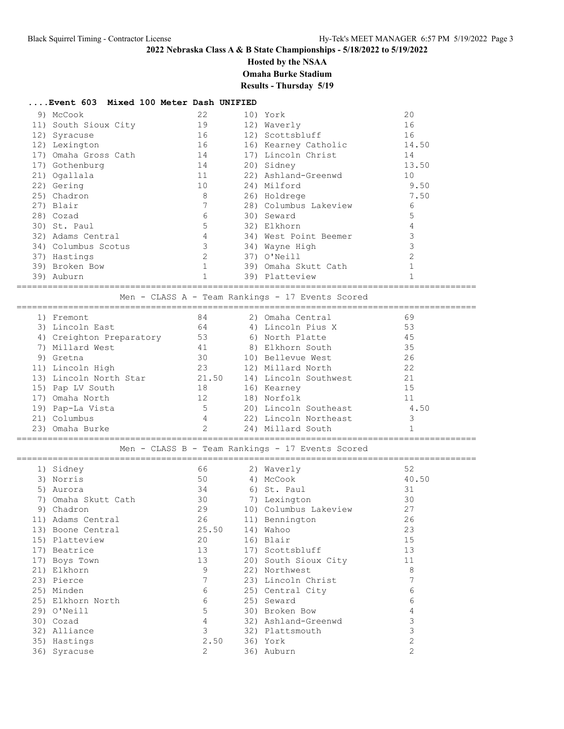**Hosted by the NSAA**

**Omaha Burke Stadium**

# **Results - Thursday 5/19**

### **....Event 603 Mixed 100 Meter Dash UNIFIED**

| 9) McCook            | 22 | 10) York              | 20             |
|----------------------|----|-----------------------|----------------|
| 11) South Sioux City | 19 | 12) Waverly           | 16             |
| 12) Syracuse         | 16 | 12) Scottsbluff       | 16             |
| 12) Lexington        | 16 | 16) Kearney Catholic  | 14.50          |
| 17) Omaha Gross Cath | 14 | 17) Lincoln Christ    | 14             |
| 17) Gothenburg       | 14 | 20) Sidney            | 13.50          |
| 21) Ogallala         | 11 | 22) Ashland-Greenwd   | 10             |
| 22) Gering           | 10 | 24) Milford           | 9.50           |
| 25) Chadron          | 8  | 26) Holdrege          | 7.50           |
| 27) Blair            | 7  | 28) Columbus Lakeview | 6              |
| 28) Cozad            | 6  | 30) Seward            | 5              |
| 30) St. Paul         | 5  | 32) Elkhorn           |                |
| 32) Adams Central    | 4  | 34) West Point Beemer |                |
| 34) Columbus Scotus  | 3  | 34) Wayne High        | 3              |
| 37) Hastings         | 2  | 37) O'Neill           | $\mathfrak{D}$ |
| 39) Broken Bow       |    | 39) Omaha Skutt Cath  |                |
| 39) Auburn           |    | 39) Platteview        |                |
|                      |    |                       |                |

Men - CLASS A - Team Rankings - 17 Events Scored

| 1) Fremont               | 84    | 2) Omaha Central      | 69   |
|--------------------------|-------|-----------------------|------|
| 3) Lincoln East          | 64    | 4) Lincoln Pius X     | 53   |
| 4) Creighton Preparatory | 53    | 6) North Platte       | 45   |
| 7) Millard West          | 41    | 8) Elkhorn South      | 35   |
| 9) Gretna                | 30    | 10) Bellevue West     | 26   |
| 11) Lincoln High         | 23    | 12) Millard North     | 22   |
| 13) Lincoln North Star   | 21.50 | 14) Lincoln Southwest | 21   |
| 15) Pap LV South         | 18    | 16) Kearney           | 1.5  |
| 17) Omaha North          | 12    | 18) Norfolk           | 11   |
| 19) Pap-La Vista         | 5     | 20) Lincoln Southeast | 4.50 |
| 21) Columbus             | 4     | 22) Lincoln Northeast |      |
| 23) Omaha Burke          |       | 24) Millard South     |      |
|                          |       |                       |      |

#### Men - CLASS B - Team Rankings - 17 Events Scored

|     | 1) Sidney         | 66             | 2) Waverly            | 52             |
|-----|-------------------|----------------|-----------------------|----------------|
| 3)  | Norris            | 50             | 4) McCook             | 40.50          |
| 5)  | Aurora            | 34             | 6) St. Paul           | 31             |
|     | Omaha Skutt Cath  | 30             | 7) Lexington          | 30             |
|     | 9) Chadron        | 29             | 10) Columbus Lakeview | 27             |
| 11) | Adams Central     | 26             | 11) Bennington        | 26             |
| 13) | Boone Central     | 25.50          | 14) Wahoo             | 23             |
|     | 15) Platteview    | 20             | 16) Blair             | 15             |
| 17) | Beatrice          | 13             | 17) Scottsbluff       | 13             |
|     | 17) Boys Town     | 13             | 20) South Sioux City  | 11             |
|     | 21) Elkhorn       | 9              | 22) Northwest         | 8              |
|     | 23) Pierce        |                | 23) Lincoln Christ    |                |
|     | 25) Minden        | 6              | 25) Central City      | 6              |
|     | 25) Elkhorn North | 6              | 25) Seward            | 6              |
|     | 29) O'Neill       | 5              | 30) Broken Bow        | 4              |
|     | 30) Cozad         | $\overline{4}$ | 32) Ashland-Greenwd   | 3              |
|     | 32) Alliance      | 3              | 32) Plattsmouth       |                |
|     | 35) Hastings      | 2.50           | 36) York              |                |
|     | 36) Syracuse      | $\overline{2}$ | 36) Auburn            | $\overline{2}$ |